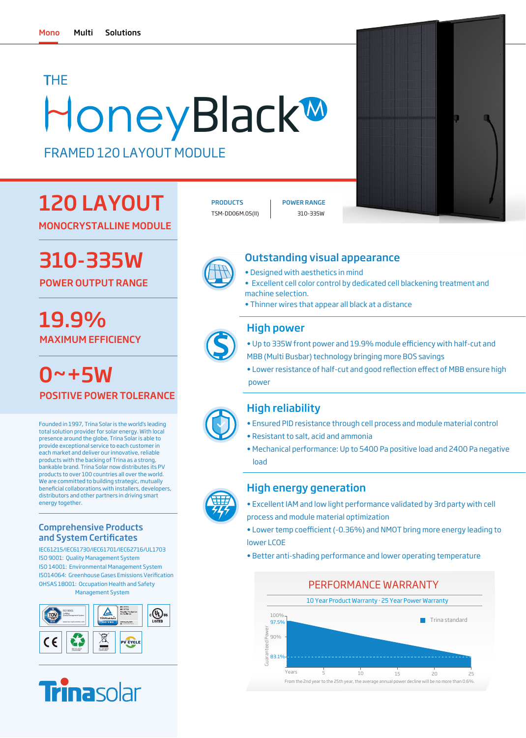# **HoneyBlack®** THE

FRAMED 120 LAYOUT MODULE

## 120 LAYOUT

MONOCRYSTALLINE MODULE

# 310-335W

POWER OUTPUT RANGE

## MAXIMUM EFFICIENCY 19.9%

 $0 - +5W$ POSITIVE POWER TOLERANCE

Founded in 1997, Trina Solar is the world's leading total solution provider for solar energy. With local presence around the globe, Trina Solar is able to provide exceptional service to each customer in each market and deliver our innovative, reliable products with the backing of Trina as a strong, bankable brand. Trina Solar now distributes its PV products to over 100 countries all over the world. We are committed to building strategic, mutually beneficial collaborations with installers, developers, distributors and other partners in driving smart energy together.

### Comprehensive Products and System Certificates

IEC61215/IEC61730/IEC61701/IEC62716/UL1703 ISO 9001: Quality Management System ISO 14001: Environmental Management System ISO14064: Greenhouse Gases Emissions Verification OHSAS 18001: Occupation Health and Safety Management System





TSM-DD06M.05(II) 310-335W PRODUCTS | POWER RANGE



## Outstanding visual appearance

- Designed with aesthetics in mind
- Excellent cell color control by dedicated cell blackening treatment and machine selection.
- Thinner wires that appear all black at a distance

## High power

- Up to 335W front power and 19.9% module efficiency with half-cut and MBB (Multi Busbar) technology bringing more BOS savings
- Lower resistance of half-cut and good reflection effect of MBB ensure high power



## High reliability

- Ensured PID resistance through cell process and module material control
- Resistant to salt, acid and ammonia
- Mechanical performance: Up to 5400 Pa positive load and 2400 Pa negative load

## High energy generation

- Excellent IAM and low light performance validated by 3rd party with cell process and module material optimization
- Lower temp coefficient (-0.36%) and NMOT bring more energy leading to lower LCOE
- Better anti-shading performance and lower operating temperature